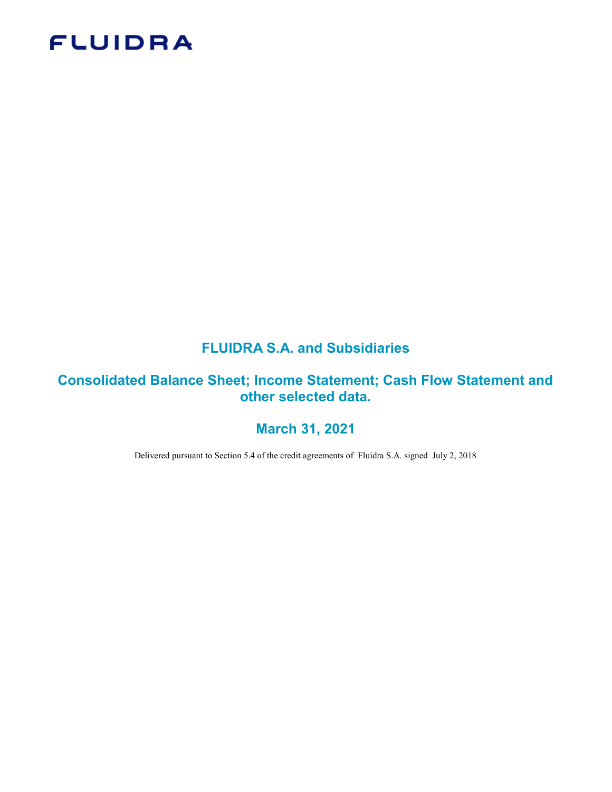# **FLUIDRA**

# FLUIDRA S.A. and Subsidiaries

# Consolidated Balance Sheet; Income Statement; Cash Flow Statement and other selected data.

# March 31, 2021

Delivered pursuant to Section 5.4 of the credit agreements of Fluidra S.A. signed July 2, 2018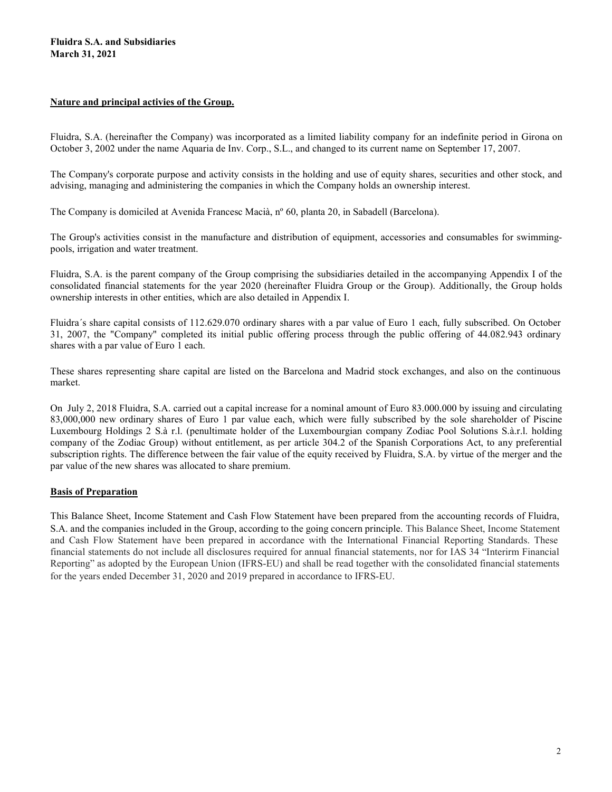#### Nature and principal activies of the Group.

Fluidra, S.A. (hereinafter the Company) was incorporated as a limited liability company for an indefinite period in Girona on October 3, 2002 under the name Aquaria de Inv. Corp., S.L., and changed to its current name on September 17, 2007.

The Company's corporate purpose and activity consists in the holding and use of equity shares, securities and other stock, and advising, managing and administering the companies in which the Company holds an ownership interest.

The Company is domiciled at Avenida Francesc Macià, nº 60, planta 20, in Sabadell (Barcelona).

The Group's activities consist in the manufacture and distribution of equipment, accessories and consumables for swimmingpools, irrigation and water treatment.

Fluidra, S.A. is the parent company of the Group comprising the subsidiaries detailed in the accompanying Appendix I of the consolidated financial statements for the year 2020 (hereinafter Fluidra Group or the Group). Additionally, the Group holds ownership interests in other entities, which are also detailed in Appendix I.

Fluidra´s share capital consists of 112.629.070 ordinary shares with a par value of Euro 1 each, fully subscribed. On October 31, 2007, the "Company" completed its initial public offering process through the public offering of 44.082.943 ordinary shares with a par value of Euro 1 each.

These shares representing share capital are listed on the Barcelona and Madrid stock exchanges, and also on the continuous market.

On July 2, 2018 Fluidra, S.A. carried out a capital increase for a nominal amount of Euro 83.000.000 by issuing and circulating 83,000,000 new ordinary shares of Euro 1 par value each, which were fully subscribed by the sole shareholder of Piscine Luxembourg Holdings 2 S.à r.l. (penultimate holder of the Luxembourgian company Zodiac Pool Solutions S.à.r.l. holding company of the Zodiac Group) without entitlement, as per article 304.2 of the Spanish Corporations Act, to any preferential subscription rights. The difference between the fair value of the equity received by Fluidra, S.A. by virtue of the merger and the par value of the new shares was allocated to share premium.

#### Basis of Preparation

This Balance Sheet, Income Statement and Cash Flow Statement have been prepared from the accounting records of Fluidra, S.A. and the companies included in the Group, according to the going concern principle. This Balance Sheet, Income Statement and Cash Flow Statement have been prepared in accordance with the International Financial Reporting Standards. These financial statements do not include all disclosures required for annual financial statements, nor for IAS 34 "Interirm Financial Reporting" as adopted by the European Union (IFRS-EU) and shall be read together with the consolidated financial statements for the years ended December 31, 2020 and 2019 prepared in accordance to IFRS-EU.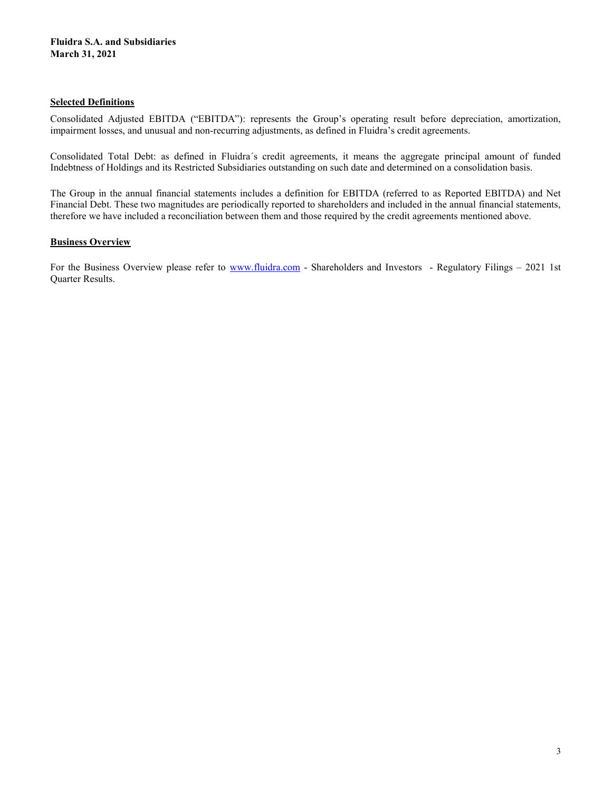#### Selected Definitions

Consolidated Adjusted EBITDA ("EBITDA"): represents the Group's operating result before depreciation, amortization, impairment losses, and unusual and non-recurring adjustments, as defined in Fluidra's credit agreements.

Consolidated Total Debt: as defined in Fluidra´s credit agreements, it means the aggregate principal amount of funded Indebtness of Holdings and its Restricted Subsidiaries outstanding on such date and determined on a consolidation basis.

The Group in the annual financial statements includes a definition for EBITDA (referred to as Reported EBITDA) and Net Financial Debt. These two magnitudes are periodically reported to shareholders and included in the annual financial statements, therefore we have included a reconciliation between them and those required by the credit agreements mentioned above.

### **Business Overview**

For the Business Overview please refer to www.fluidra.com - Shareholders and Investors - Regulatory Filings – 2021 1st Quarter Results.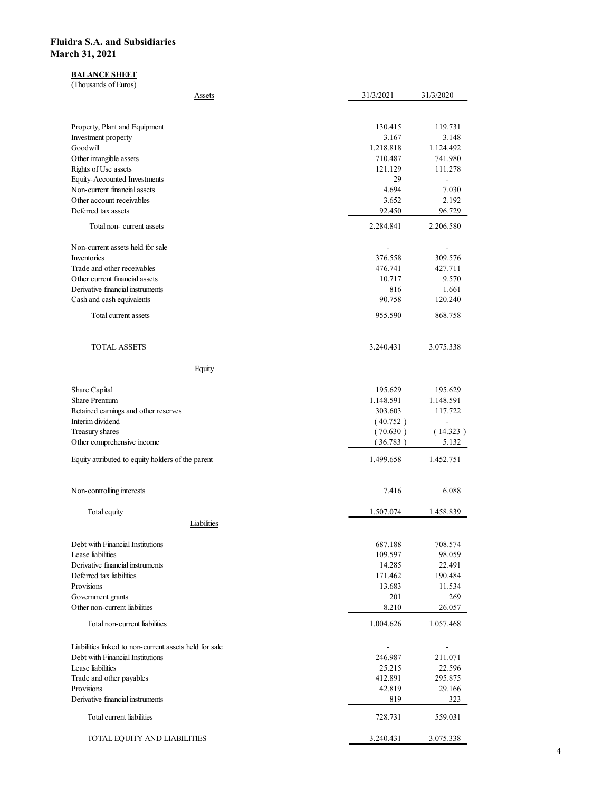#### BALANCE SHEET

| idra S.A. and Subsidiaries                                         |                          |                           |
|--------------------------------------------------------------------|--------------------------|---------------------------|
|                                                                    |                          |                           |
| rch 31, 2021                                                       |                          |                           |
| <b>BALANCE SHEET</b><br>(Thousands of Euros)                       |                          |                           |
| Assets                                                             | 31/3/2021                | 31/3/2020                 |
|                                                                    |                          |                           |
| Property, Plant and Equipment<br>Investment property               | 130.415<br>3.167         | 119.731<br>3.148          |
| Goodwill<br>Other intangible assets                                | 1.218.818<br>710.487     | 1.124.492<br>741.980      |
| Rights of Use assets<br><b>Equity-Accounted Investments</b>        | 121.129<br>29            | 111.278<br>$\blacksquare$ |
| Non-current financial assets                                       | 4.694                    | 7.030                     |
| Other account receivables<br>Deferred tax assets                   | 3.652<br>92.450          | 2.192<br>96.729           |
| Total non-current assets                                           | 2.284.841                | 2.206.580                 |
| Non-current assets held for sale                                   | $\overline{\phantom{a}}$ | $\sim$                    |
| Inventories<br>Trade and other receivables                         | 376.558<br>476.741       | 309.576<br>427.711        |
| Other current financial assets<br>Derivative financial instruments | 10.717<br>816            | 9.570<br>1.661            |
| Cash and cash equivalents                                          | 90.758                   | 120.240                   |
| Total current assets                                               | 955.590                  | 868.758                   |
| <b>TOTAL ASSETS</b>                                                | 3.240.431                | 3.075.338                 |
| Equity                                                             |                          |                           |
| Share Capital                                                      | 195.629                  | 195.629                   |
| Share Premium<br>Retained earnings and other reserves              | 1.148.591<br>303.603     | 1.148.591<br>117.722      |
| Interim dividend                                                   | (40.752)                 | $\blacksquare$            |
| Treasury shares<br>Other comprehensive income                      | (70.630)<br>(36.783)     | (14.323)<br>5.132         |
| Equity attributed to equity holders of the parent                  | 1.499.658                | 1.452.751                 |
| Non-controlling interests                                          | 7.416                    | 6.088                     |
| Total equity                                                       | 1.507.074                | 1.458.839                 |
| Liabilities                                                        |                          |                           |
| Debt with Financial Institutions                                   | 687.188                  | 708.574                   |
| Lease liabilities<br>Derivative financial instruments              | 109.597<br>14.285        | 98.059<br>22.491          |
| Deferred tax liabilities<br>Provisions                             | 171.462<br>13.683        | 190.484<br>11.534         |
| Government grants<br>Other non-current liabilities                 | 201<br>8.210             | 269                       |
| Total non-current liabilities                                      | 1.004.626                | 26.057<br>1.057.468       |
| Liabilities linked to non-current assets held for sale             | $\overline{\phantom{a}}$ | $\sim$                    |
| Debt with Financial Institutions                                   | 246.987                  | 211.071                   |
| Lease liabilities<br>Trade and other payables                      | 25.215<br>412.891        | 22.596<br>295.875         |
| Provisions<br>Derivative financial instruments                     | 42.819<br>819            | 29.166<br>323             |
| Total current liabilities                                          | 728.731                  | 559.031                   |
| TOTAL EQUITY AND LIABILITIES                                       | 3.240.431                |                           |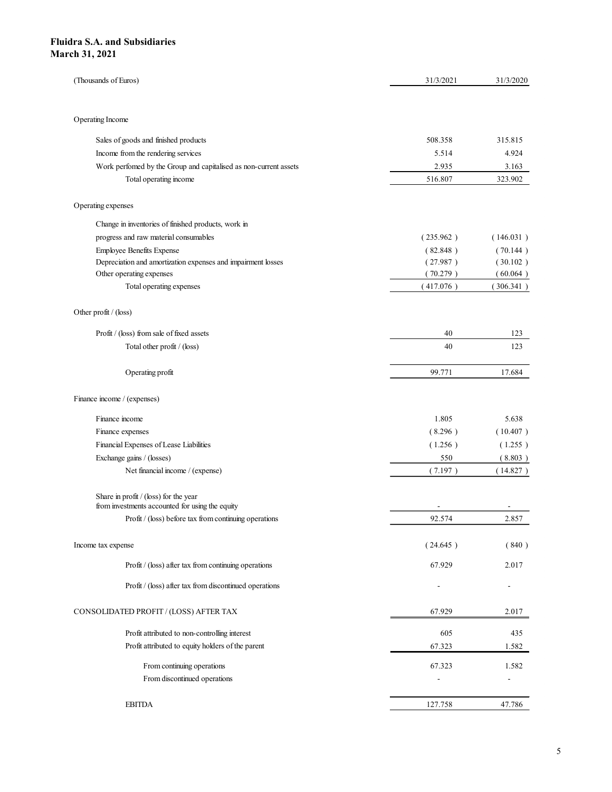| idra S.A. and Subsidiaries<br>rch 31, 2021                                                       |                          |                          |
|--------------------------------------------------------------------------------------------------|--------------------------|--------------------------|
|                                                                                                  |                          |                          |
|                                                                                                  |                          |                          |
|                                                                                                  |                          |                          |
|                                                                                                  |                          |                          |
|                                                                                                  |                          |                          |
|                                                                                                  |                          |                          |
|                                                                                                  |                          |                          |
|                                                                                                  |                          |                          |
| (Thousands of Euros)                                                                             | 31/3/2021                | 31/3/2020                |
|                                                                                                  |                          |                          |
|                                                                                                  |                          |                          |
| Operating Income                                                                                 |                          |                          |
| Sales of goods and finished products                                                             | 508.358                  | 315.815                  |
| Income from the rendering services                                                               | 5.514                    | 4.924                    |
| Work perfomed by the Group and capitalised as non-current assets                                 | 2.935                    | 3.163                    |
| Total operating income                                                                           | 516.807                  | 323.902                  |
| Operating expenses                                                                               |                          |                          |
|                                                                                                  |                          |                          |
| Change in inventories of finished products, work in                                              |                          |                          |
| progress and raw material consumables                                                            | (235.962)                | (146.031)                |
| <b>Employee Benefits Expense</b><br>Depreciation and amortization expenses and impairment losses | (82.848)<br>(27.987)     | (70.144)<br>(30.102)     |
| Other operating expenses                                                                         | (70.279)                 | (60.064)                 |
| Total operating expenses                                                                         | (417.076)                | (306.341)                |
|                                                                                                  |                          |                          |
| Other profit / (loss)                                                                            |                          |                          |
| Profit / (loss) from sale of fixed assets                                                        | 40                       | 123                      |
| Total other profit / (loss)                                                                      | 40                       | 123                      |
|                                                                                                  |                          |                          |
| Operating profit                                                                                 | 99.771                   | 17.684                   |
|                                                                                                  |                          |                          |
| Finance income / (expenses)                                                                      |                          |                          |
| Finance income                                                                                   | 1.805                    | 5.638                    |
| Finance expenses                                                                                 | (8.296)                  | (10.407)                 |
| Financial Expenses of Lease Liabilities                                                          | (1.256)                  | (1.255)                  |
| Exchange gains / (losses)                                                                        | 550                      | (8.803)                  |
| Net financial income / (expense)                                                                 | (7.197)                  | (14.827)                 |
|                                                                                                  |                          |                          |
| Share in profit / (loss) for the year<br>from investments accounted for using the equity         | $\sim$                   | $\sim$                   |
| Profit / (loss) before tax from continuing operations                                            | 92.574                   | 2.857                    |
|                                                                                                  |                          |                          |
| Income tax expense                                                                               | (24.645)                 | (840)                    |
| Profit / (loss) after tax from continuing operations                                             | 67.929                   | 2.017                    |
| Profit / (loss) after tax from discontinued operations                                           | $\overline{\phantom{a}}$ | $\sim$                   |
|                                                                                                  |                          |                          |
| CONSOLIDATED PROFIT / (LOSS) AFTER TAX                                                           | 67.929                   | 2.017                    |
| Profit attributed to non-controlling interest                                                    | 605                      | 435                      |
| Profit attributed to equity holders of the parent                                                | 67.323                   | 1.582                    |
| From continuing operations                                                                       | 67.323                   | 1.582                    |
| From discontinued operations                                                                     | $\overline{\phantom{a}}$ | $\overline{\phantom{a}}$ |
|                                                                                                  |                          |                          |
|                                                                                                  |                          |                          |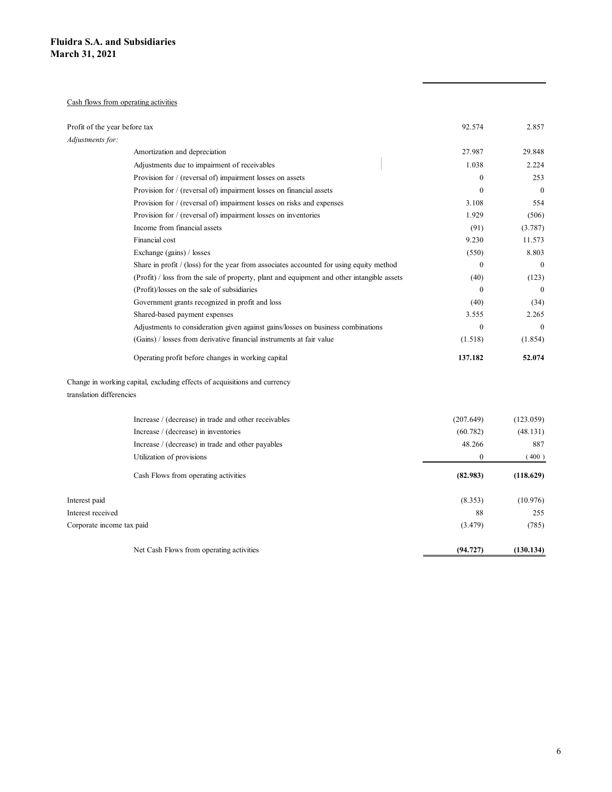#### Cash flows from operating activities

|                               | idra S.A. and Subsidiaries                                                                 |                |                  |
|-------------------------------|--------------------------------------------------------------------------------------------|----------------|------------------|
| rch 31, 2021                  |                                                                                            |                |                  |
|                               |                                                                                            |                |                  |
|                               |                                                                                            |                |                  |
|                               |                                                                                            |                |                  |
|                               | Cash flows from operating activities                                                       |                |                  |
|                               |                                                                                            |                |                  |
| Profit of the year before tax |                                                                                            | 92.574         | 2.857            |
| Adjustments for:              |                                                                                            |                |                  |
|                               | Amortization and depreciation                                                              | 27.987         | 29.848           |
|                               | Adjustments due to impairment of receivables                                               | 1.038          | 2.224            |
|                               | Provision for / (reversal of) impairment losses on assets                                  | $\bf{0}$       | 253              |
|                               | Provision for / (reversal of) impairment losses on financial assets                        | $\bf{0}$       | $\overline{0}$   |
|                               | Provision for / (reversal of) impairment losses on risks and expenses                      | 3.108          | 554              |
|                               | Provision for / (reversal of) impairment losses on inventories                             | 1.929          | (506)            |
|                               | Income from financial assets                                                               | (91)           | (3.787)          |
|                               | Financial cost                                                                             | 9.230          | 11.573           |
|                               | Exchange (gains) / losses                                                                  | (550)          | 8.803            |
|                               | Share in profit / (loss) for the year from associates accounted for using equity method    | $\overline{0}$ | $\boldsymbol{0}$ |
|                               | (Profit) / loss from the sale of property, plant and equipment and other intangible assets | (40)           | (123)            |
|                               | (Profit)/losses on the sale of subsidiaries                                                | $\bf{0}$       | $\overline{0}$   |
|                               | Government grants recognized in profit and loss                                            | (40)           | (34)             |
|                               | Shared-based payment expenses                                                              | 3.555          | 2.265            |
|                               | Adjustments to consideration given against gains/losses on business combinations           | $\bf{0}$       | $\overline{0}$   |
|                               | (Gains) / losses from derivative financial instruments at fair value                       | (1.518)        | (1.854)          |
|                               |                                                                                            |                |                  |
|                               | Operating profit before changes in working capital                                         | 137.182        | 52.074           |
|                               | Change in working capital, excluding effects of acquisitions and currency                  |                |                  |
| translation differencies      |                                                                                            |                |                  |
|                               |                                                                                            |                |                  |
|                               | Increase / (decrease) in trade and other receivables                                       | (207.649)      | (123.059)        |
|                               | Increase / (decrease) in inventories                                                       | (60.782)       | (48.131)         |
|                               | Increase / (decrease) in trade and other payables                                          | 48.266         | 887              |
|                               | Utilization of provisions                                                                  | $\bf{0}$       | (400)            |
|                               |                                                                                            |                |                  |
|                               | Cash Flows from operating activities                                                       | (82.983)       | (118.629)        |
| Interest paid                 |                                                                                            | (8.353)        | (10.976)         |
| Interest received             |                                                                                            | 88             | 255              |
|                               |                                                                                            |                |                  |
| Corporate income tax paid     |                                                                                            | (3.479)        | (785)            |
|                               | Net Cash Flows from operating activities                                                   | (94.727)       | (130.134)        |
|                               |                                                                                            |                |                  |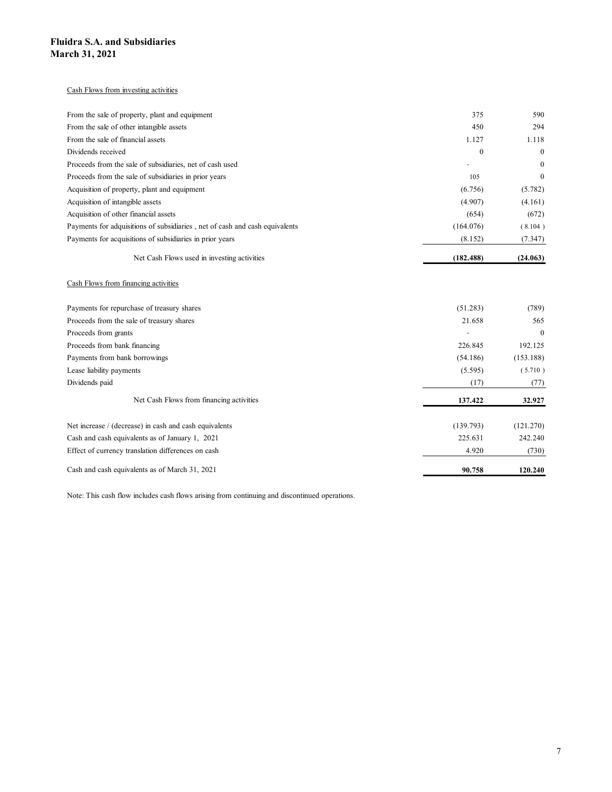#### Cash Flows from investing activities

| idra S.A. and Subsidiaries                                                   |                |                  |
|------------------------------------------------------------------------------|----------------|------------------|
| rch 31, 2021                                                                 |                |                  |
|                                                                              |                |                  |
| Cash Flows from investing activities                                         |                |                  |
|                                                                              |                |                  |
| From the sale of property, plant and equipment                               | 375            | 590              |
| From the sale of other intangible assets                                     | 450            | 294              |
| From the sale of financial assets                                            | 1.127          | 1.118            |
| Dividends received                                                           | $\bf{0}$       | $\mathbf{0}$     |
| Proceeds from the sale of subsidiaries, net of cash used                     | $\sim$         | $\mathbf{0}$     |
| Proceeds from the sale of subsidiaries in prior years                        | 105            | $\overline{0}$   |
| Acquisition of property, plant and equipment                                 | (6.756)        | (5.782)          |
| Acquisition of intangible assets                                             | (4.907)        | (4.161)          |
| Acquisition of other financial assets                                        | (654)          | (672)            |
| Payments for adquisitions of subsidiaries , net of cash and cash equivalents | (164.076)      | (8.104)          |
| Payments for acquisitions of subsidiaries in prior years                     | (8.152)        | (7.347)          |
|                                                                              |                |                  |
| Net Cash Flows used in investing activities                                  | (182.488)      | (24.063)         |
| Cash Flows from financing activities                                         |                |                  |
| Payments for repurchase of treasury shares                                   | (51.283)       | (789)            |
| Proceeds from the sale of treasury shares                                    | 21.658         | 565              |
| Proceeds from grants                                                         | $\blacksquare$ | $\boldsymbol{0}$ |
| Proceeds from bank financing                                                 | 226.845        | 192.125          |
| Payments from bank borrowings                                                | (54.186)       | (153.188)        |
| Lease liability payments                                                     | (5.595)        | (5.710)          |
| Dividends paid                                                               | (17)           | (77)             |
| Net Cash Flows from financing activities                                     | 137.422        | 32.927           |
|                                                                              |                |                  |
| Net increase / (decrease) in cash and cash equivalents                       | (139.793)      | (121.270)        |

#### Cash Flows from financing activities

| From the sale of other intangible assets                                                      | 450            | 294          |
|-----------------------------------------------------------------------------------------------|----------------|--------------|
| From the sale of financial assets                                                             | 1.127          | 1.118        |
| Dividends received                                                                            | $\overline{0}$ | $\theta$     |
| Proceeds from the sale of subsidiaries, net of cash used                                      |                | $\theta$     |
| Proceeds from the sale of subsidiaries in prior years                                         | 105            | $\theta$     |
| Acquisition of property, plant and equipment                                                  | (6.756)        | (5.782)      |
| Acquisition of intangible assets                                                              | (4.907)        | (4.161)      |
| Acquisition of other financial assets                                                         | (654)          | (672)        |
| Payments for adquisitions of subsidiaries , net of cash and cash equivalents                  | (164.076)      | (8.104)      |
| Payments for acquisitions of subsidiaries in prior years                                      | (8.152)        | (7.347)      |
| Net Cash Flows used in investing activities                                                   | (182.488)      | (24.063)     |
| Cash Flows from financing activities                                                          |                |              |
| Payments for repurchase of treasury shares                                                    | (51.283)       | (789)        |
| Proceeds from the sale of treasury shares                                                     | 21.658         | 565          |
| Proceeds from grants                                                                          |                | $\mathbf{0}$ |
| Proceeds from bank financing                                                                  | 226.845        | 192.125      |
| Payments from bank borrowings                                                                 | (54.186)       | (153.188)    |
| Lease liability payments                                                                      | (5.595)        | (5.710)      |
| Dividends paid                                                                                | (17)           | (77)         |
| Net Cash Flows from financing activities                                                      | 137.422        | 32.927       |
| Net increase / (decrease) in cash and cash equivalents                                        | (139.793)      | (121.270)    |
| Cash and cash equivalents as of January 1, 2021                                               | 225.631        | 242.240      |
| Effect of currency translation differences on cash                                            | 4.920          | (730)        |
| Cash and cash equivalents as of March 31, 2021                                                | 90.758         | 120.240      |
| Note: This cash flow includes cash flows arising from continuing and discontinued operations. |                |              |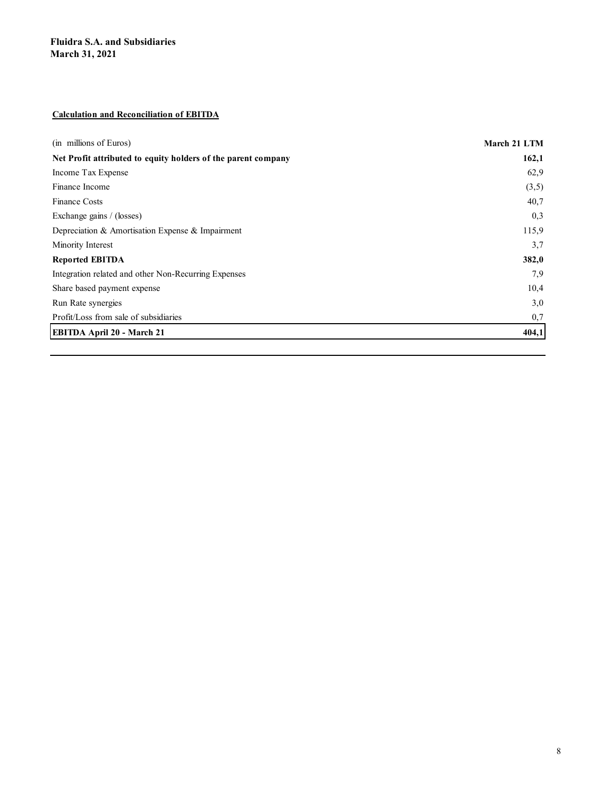### Calculation and Reconciliation of EBITDA

| <b>Fluidra S.A. and Subsidiaries</b>                          |              |
|---------------------------------------------------------------|--------------|
|                                                               |              |
|                                                               |              |
| <b>March 31, 2021</b>                                         |              |
|                                                               |              |
|                                                               |              |
|                                                               |              |
| <b>Calculation and Reconciliation of EBITDA</b>               |              |
|                                                               |              |
| (in millions of Euros)                                        | March 21 LTM |
| Net Profit attributed to equity holders of the parent company | 162,1        |
| Income Tax Expense                                            | 62,9         |
| Finance Income                                                | (3,5)        |
| Finance Costs                                                 | 40,7         |
| Exchange gains / (losses)                                     | 0,3          |
| Depreciation & Amortisation Expense & Impairment              | 115,9        |
| Minority Interest                                             | 3,7          |
| <b>Reported EBITDA</b>                                        | 382,0        |
| Integration related and other Non-Recurring Expenses          | 7,9          |
| Share based payment expense                                   | 10,4         |
| Run Rate synergies                                            | 3,0          |
| Profit/Loss from sale of subsidiaries                         | 0,7          |
| EBITDA April 20 - March 21                                    | 404,1        |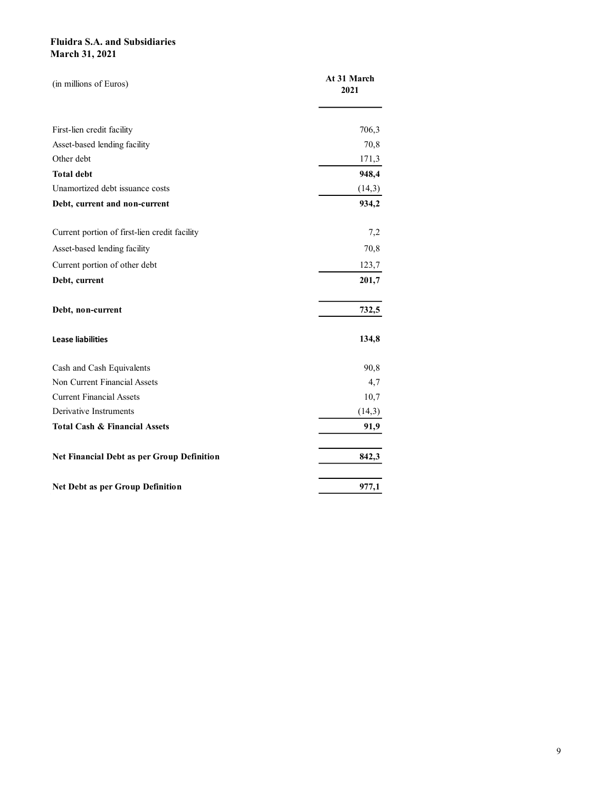| <b>Fluidra S.A. and Subsidiaries</b>          |             |  |
|-----------------------------------------------|-------------|--|
| <b>March 31, 2021</b>                         |             |  |
| (in millions of Euros)                        | At 31 March |  |
|                                               | 2021        |  |
|                                               |             |  |
| First-lien credit facility                    | 706,3       |  |
| Asset-based lending facility                  | 70,8        |  |
| Other debt                                    | 171,3       |  |
| <b>Total debt</b>                             | 948,4       |  |
| Unamortized debt issuance costs               | (14,3)      |  |
| Debt, current and non-current                 | 934,2       |  |
| Current portion of first-lien credit facility | 7,2         |  |
| Asset-based lending facility                  | 70,8        |  |
| Current portion of other debt                 | 123,7       |  |
| Debt, current                                 | 201,7       |  |
|                                               |             |  |
| Debt, non-current                             | 732,5       |  |
| <b>Lease liabilities</b>                      | 134,8       |  |
| Cash and Cash Equivalents                     | 90,8        |  |
| Non Current Financial Assets                  | 4,7         |  |
| <b>Current Financial Assets</b>               | 10,7        |  |
| Derivative Instruments                        | (14,3)      |  |
| Total Cash & Financial Assets                 | 91,9        |  |
| Net Financial Debt as per Group Definition    | 842,3       |  |
|                                               |             |  |
| Net Debt as per Group Definition              | 977,1       |  |